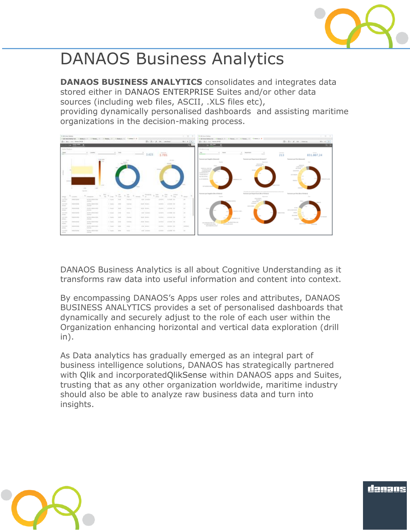

## DANAOS Business Analytics

**DANAOS BUSINESS ANALYTICS** consolidates and integrates data stored either in [DANAOS ENTERPRISE](https://danaosmc.wordpress.com/danaos-web-enterprise-suite/) Suites and/or other data sources (including web files, ASCII, .XLS files etc),

providing dynamically personalised dashboards and assisting maritime organizations in the decision-making process.



DANAOS Business Analytics is all about Cognitive Understanding as it transforms raw data into useful information and content into context.

By encompassing DANAOS's Apps user roles and attributes, DANAOS BUSINESS ANALYTICS provides a set of personalised dashboards that dynamically and securely adjust to the role of each user within the Organization enhancing horizontal and vertical data exploration (drill in).

As Data analytics has gradually emerged as an integral part of business intelligence solutions, DANAOS has strategically partnered with [Qlik](http://www.qlik.com/) and incorporate[dQlikSense](http://www.qlik.com/products/qlik-sense) within DANAOS apps and Suites, trusting that as any other organization worldwide, maritime industry should also be able to analyze raw business data and turn into insights.



danans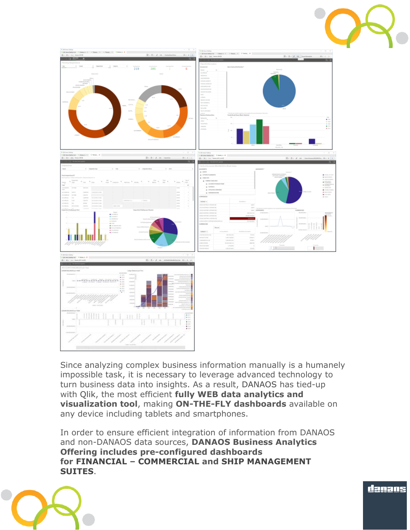



Since analyzing complex business information manually is a humanely impossible task, it is necessary to leverage advanced technology to turn business data into insights. As a result, [DANAOS](http://www.danaos.gr/) has tied-up with [Qlik,](http://www.qlik.com/) the most efficient **fully WEB data analytics and visualization tool**, making **ON-THE-FLY dashboards** available on any device including tablets and smartphones.

In order to ensure efficient integration of information from DANAOS and non-DANAOS data sources, **DANAOS Business Analytics Offering includes pre-configured dashboards for [FINANCIAL](https://danaosmc.wordpress.com/2016/02/23/financial-suite/) – [COMMERCIAL](https://danaosmc.wordpress.com/2016/02/23/commercial-suite/) and [SHIP MANAGEMENT](https://danaosmc.wordpress.com/2016/02/23/ship-management-suite/)  [SUITES](https://danaosmc.wordpress.com/2016/02/23/ship-management-suite/)**.



danans